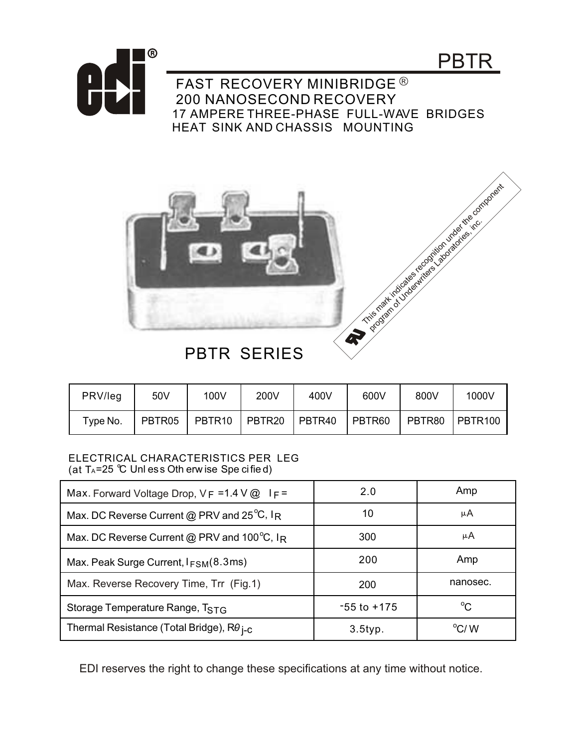



FAST RECOVERY MINIBRIDGE<sup>®</sup> 200 NANOSECOND RECOVERY 17 AMPERE THREE-PHASE FULL-WAVE BRIDGES HEAT SINK AND CHASSIS MOUNTING



## **PBTR SERIES**

| PRV/leg  | 50V    | 100V          | 200V | 400V   | 600V   | 800V   | 1000V     |
|----------|--------|---------------|------|--------|--------|--------|-----------|
| Type No. | PBTR05 | PBTR10 PBTR20 |      | PBTR40 | PBTR60 | PBTR80 | I PBTR100 |

## ELECTRICAL CHARACTERISTICS PER LEG (at  $T_A = 25$  °C Unless Oth erw ise Spe cified)

| Max. Forward Voltage Drop, $V_F = 1.4 V @$ I $F =$   | 2.0             | Amp            |
|------------------------------------------------------|-----------------|----------------|
| Max. DC Reverse Current @ PRV and $25^{\circ}$ C, IR | 10              | μA             |
| Max. DC Reverse Current @ PRV and 100°C, IR          | 300             | μA             |
| Max. Peak Surge Current, $I_{FSM}(8.3 \text{ms})$    | 200             | Amp            |
| Max. Reverse Recovery Time, Trr (Fig.1)              | 200             | nanosec.       |
| Storage Temperature Range, TSTG                      | $-55$ to $+175$ | $^{\circ}$ C   |
| Thermal Resistance (Total Bridge), $R\theta_{I-C}$   | $3.5$ typ.      | $^{\circ}$ C/W |

EDI reserves the right to change these specifications at any time without notice.